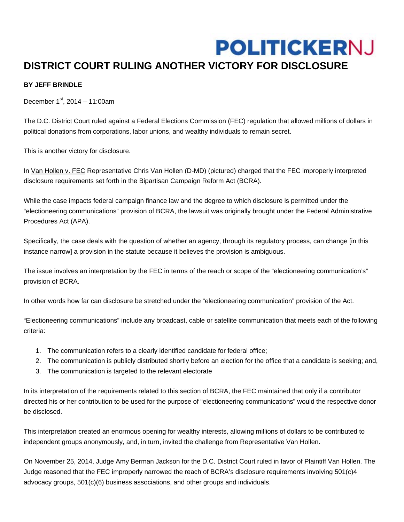## **POLITICKERNJ**

## **DISTRICT COURT RULING ANOTHER VICTORY FOR DISCLOSURE**

## **BY JEFF BRINDLE**

December  $1^{st}$ , 2014 – 11:00am

The D.C. District Court ruled against a Federal Elections Commission (FEC) regulation that allowed millions of dollars in political donations from corporations, labor unions, and wealthy individuals to remain secret.

This is another victory for disclosure.

In Van Hollen v. FEC Representative Chris Van Hollen (D-MD) (pictured) charged that the FEC improperly interpreted disclosure requirements set forth in the Bipartisan Campaign Reform Act (BCRA).

While the case impacts federal campaign finance law and the degree to which disclosure is permitted under the "electioneering communications" provision of BCRA, the lawsuit was originally brought under the Federal Administrative Procedures Act (APA).

Specifically, the case deals with the question of whether an agency, through its regulatory process, can change [in this instance narrow] a provision in the statute because it believes the provision is ambiguous.

The issue involves an interpretation by the FEC in terms of the reach or scope of the "electioneering communication's" provision of BCRA.

In other words how far can disclosure be stretched under the "electioneering communication" provision of the Act.

"Electioneering communications" include any broadcast, cable or satellite communication that meets each of the following criteria:

- 1. The communication refers to a clearly identified candidate for federal office;
- 2. The communication is publicly distributed shortly before an election for the office that a candidate is seeking; and,
- 3. The communication is targeted to the relevant electorate

In its interpretation of the requirements related to this section of BCRA, the FEC maintained that only if a contributor directed his or her contribution to be used for the purpose of "electioneering communications" would the respective donor be disclosed.

This interpretation created an enormous opening for wealthy interests, allowing millions of dollars to be contributed to independent groups anonymously, and, in turn, invited the challenge from Representative Van Hollen.

On November 25, 2014, Judge Amy Berman Jackson for the D.C. District Court ruled in favor of Plaintiff Van Hollen. The Judge reasoned that the FEC improperly narrowed the reach of BCRA's disclosure requirements involving 501(c)4 advocacy groups, 501(c)(6) business associations, and other groups and individuals.